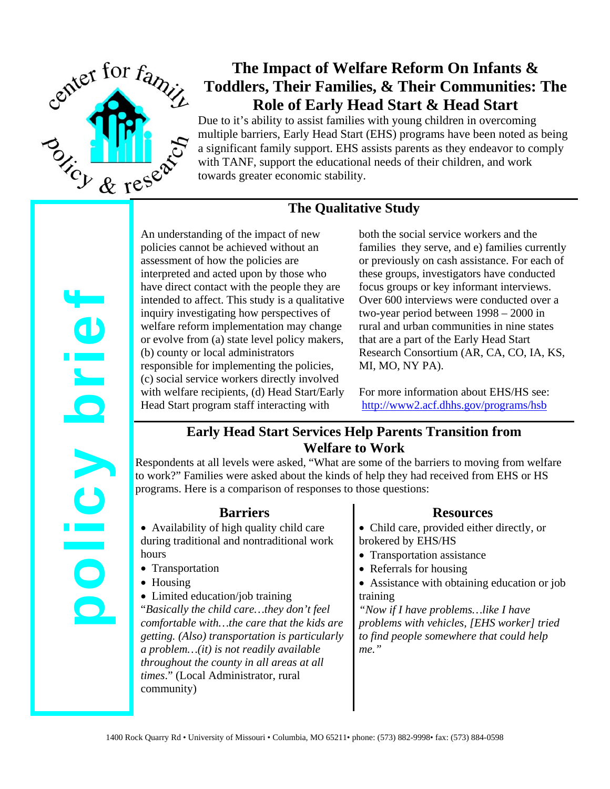

# **The Impact of Welfare Reform On Infants & Toddlers, Their Families, & Their Communities: The Role of Early Head Start & Head Start**

Due to it's ability to assist families with young children in overcoming multiple barriers, Early Head Start (EHS) programs have been noted as being a significant family support. EHS assists parents as they endeavor to comply with TANF, support the educational needs of their children, and work towards greater economic stability.

## **The Qualitative Study**

policy brief Orie **POIC** 

An understanding of the impact of new policies cannot be achieved without an assessment of how the policies are interpreted and acted upon by those who have direct contact with the people they are intended to affect. This study is a qualitative inquiry investigating how perspectives of welfare reform implementation may change or evolve from (a) state level policy makers, (b) county or local administrators responsible for implementing the policies, (c) social service workers directly involved with welfare recipients, (d) Head Start/Early Head Start program staff interacting with

both the social service workers and the families they serve, and e) families currently or previously on cash assistance. For each of these groups, investigators have conducted focus groups or key informant interviews. Over 600 interviews were conducted over a two-year period between 1998 – 2000 in rural and urban communities in nine states that are a part of the Early Head Start Research Consortium (AR, CA, CO, IA, KS, MI, MO, NY PA).

For more information about EHS/HS see: <http://www2.acf.dhhs.gov/programs/hsb>

## **Early Head Start Services Help Parents Transition from Welfare to Work**

Respondents at all levels were asked, "What are some of the barriers to moving from welfare to work?" Families were asked about the kinds of help they had received from EHS or HS programs. Here is a comparison of responses to those questions:

#### **Barriers**

• Availability of high quality child care during traditional and nontraditional work hours

- Transportation
- Housing
- Limited education/job training

"*Basically the child care…they don't feel comfortable with…the care that the kids are getting. (Also) transportation is particularly a problem…(it) is not readily available throughout the county in all areas at all times*." (Local Administrator, rural community)

#### **Resources**

• Child care, provided either directly, or brokered by EHS/HS

- Transportation assistance
- Referrals for housing
- Assistance with obtaining education or job training

*"Now if I have problems…like I have problems with vehicles, [EHS worker] tried to find people somewhere that could help me."*